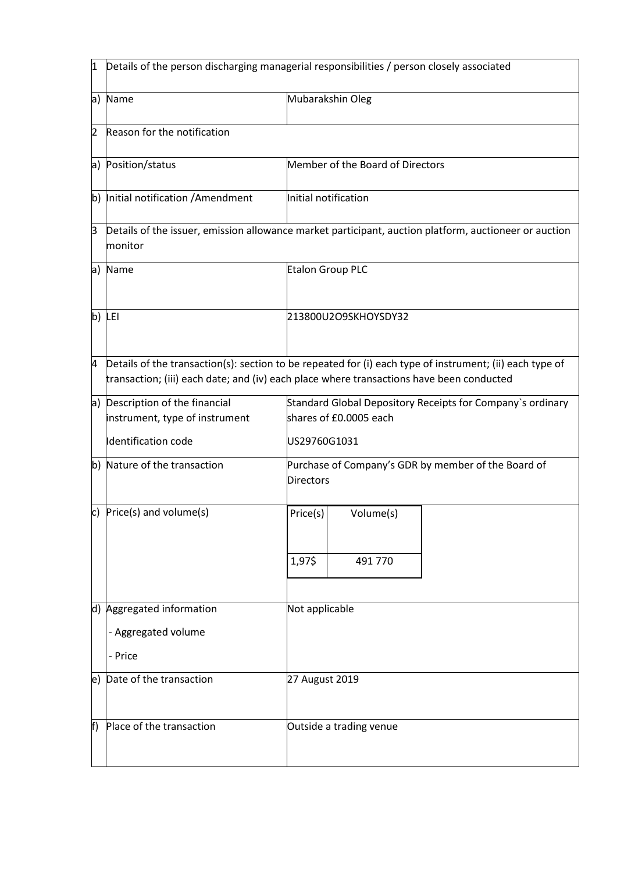| 1              | Details of the person discharging managerial responsibilities / person closely associated |                                                                                                                                                                                                      |
|----------------|-------------------------------------------------------------------------------------------|------------------------------------------------------------------------------------------------------------------------------------------------------------------------------------------------------|
|                | a) Name                                                                                   | Mubarakshin Oleg                                                                                                                                                                                     |
| $\overline{2}$ | Reason for the notification                                                               |                                                                                                                                                                                                      |
| a)             | Position/status                                                                           | Member of the Board of Directors                                                                                                                                                                     |
|                | b) Initial notification / Amendment                                                       | Initial notification                                                                                                                                                                                 |
| ß              | monitor                                                                                   | Details of the issuer, emission allowance market participant, auction platform, auctioneer or auction                                                                                                |
| a)             | Name                                                                                      | <b>Etalon Group PLC</b>                                                                                                                                                                              |
|                | $b)$ LEI                                                                                  | 213800U2O9SKHOYSDY32                                                                                                                                                                                 |
| 4              |                                                                                           | Details of the transaction(s): section to be repeated for (i) each type of instrument; (ii) each type of<br>transaction; (iii) each date; and (iv) each place where transactions have been conducted |
|                | a) Description of the financial<br>instrument, type of instrument<br>Identification code  | Standard Global Depository Receipts for Company's ordinary<br>shares of £0.0005 each<br>US29760G1031                                                                                                 |
|                | b) Nature of the transaction                                                              | Purchase of Company's GDR by member of the Board of<br><b>Directors</b>                                                                                                                              |
| c)             | Price(s) and volume(s)                                                                    | Volume(s)<br>Price(s)                                                                                                                                                                                |
|                |                                                                                           | 1,97\$<br>491 770                                                                                                                                                                                    |
|                | d) Aggregated information<br>- Aggregated volume<br>- Price                               | Not applicable                                                                                                                                                                                       |
| le)            | Date of the transaction                                                                   | 27 August 2019                                                                                                                                                                                       |
| f)             | Place of the transaction                                                                  | Outside a trading venue                                                                                                                                                                              |